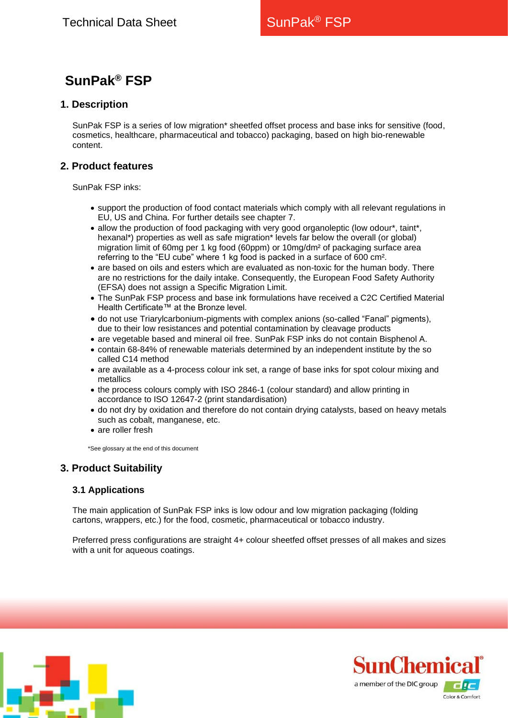# **SunPak® FSP**

# **1. Description**

SunPak FSP is a series of low migration\* sheetfed offset process and base inks for sensitive (food, cosmetics, healthcare, pharmaceutical and tobacco) packaging, based on high bio-renewable content.

# **2. Product features**

SunPak FSP inks:

- support the production of food contact materials which comply with all relevant regulations in EU, US and China. For further details see chapter 7.
- allow the production of food packaging with very good organoleptic (low odour\*, taint\*, hexanal\*) properties as well as safe migration\* levels far below the overall (or global) migration limit of 60mg per 1 kg food (60ppm) or 10mg/dm² of packaging surface area referring to the "EU cube" where 1 kg food is packed in a surface of 600 cm².
- are based on oils and esters which are evaluated as non-toxic for the human body. There are no restrictions for the daily intake. Consequently, the European Food Safety Authority (EFSA) does not assign a Specific Migration Limit.
- The SunPak FSP process and base ink formulations have received a C2C Certified Material Health Certificate™ at the Bronze level.
- do not use Triarylcarbonium-pigments with complex anions (so-called "Fanal" pigments), due to their low resistances and potential contamination by cleavage products
- are vegetable based and mineral oil free. SunPak FSP inks do not contain Bisphenol A.
- contain 68-84% of renewable materials determined by an independent institute by the so called C14 method
- are available as a 4-process colour ink set, a range of base inks for spot colour mixing and metallics
- the process colours comply with ISO 2846-1 (colour standard) and allow printing in accordance to ISO 12647-2 (print standardisation)
- do not dry by oxidation and therefore do not contain drying catalysts, based on heavy metals such as cobalt, manganese, etc.
- are roller fresh

\*See glossary at the end of this document

# **3. Product Suitability**

## **3.1 Applications**

The main application of SunPak FSP inks is low odour and low migration packaging (folding cartons, wrappers, etc.) for the food, cosmetic, pharmaceutical or tobacco industry.

Preferred press configurations are straight 4+ colour sheetfed offset presses of all makes and sizes with a unit for aqueous coatings.



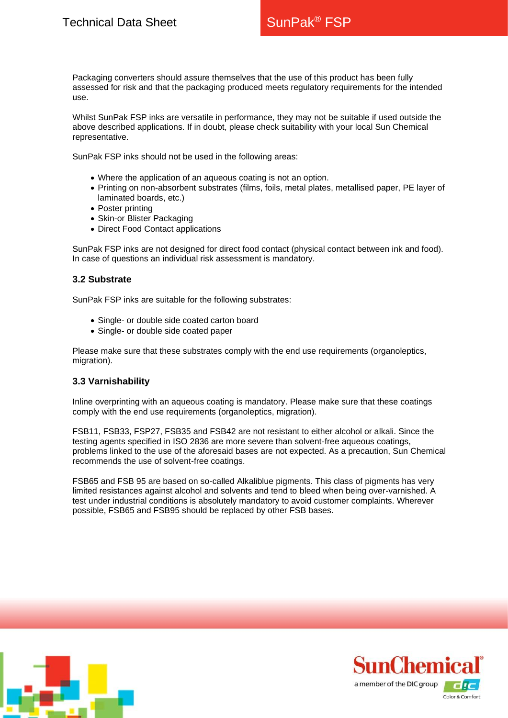Packaging converters should assure themselves that the use of this product has been fully assessed for risk and that the packaging produced meets regulatory requirements for the intended use.

Whilst SunPak FSP inks are versatile in performance, they may not be suitable if used outside the above described applications. If in doubt, please check suitability with your local Sun Chemical representative.

SunPak FSP inks should not be used in the following areas:

- Where the application of an aqueous coating is not an option.
- Printing on non-absorbent substrates (films, foils, metal plates, metallised paper, PE layer of laminated boards, etc.)
- Poster printing
- Skin-or Blister Packaging
- Direct Food Contact applications

SunPak FSP inks are not designed for direct food contact (physical contact between ink and food). In case of questions an individual risk assessment is mandatory.

#### **3.2 Substrate**

SunPak FSP inks are suitable for the following substrates:

- Single- or double side coated carton board
- Single- or double side coated paper

Please make sure that these substrates comply with the end use requirements (organoleptics, migration).

## **3.3 Varnishability**

Inline overprinting with an aqueous coating is mandatory. Please make sure that these coatings comply with the end use requirements (organoleptics, migration).

FSB11, FSB33, FSP27, FSB35 and FSB42 are not resistant to either alcohol or alkali. Since the testing agents specified in ISO 2836 are more severe than solvent-free aqueous coatings, problems linked to the use of the aforesaid bases are not expected. As a precaution, Sun Chemical recommends the use of solvent-free coatings.

FSB65 and FSB 95 are based on so-called Alkaliblue pigments. This class of pigments has very limited resistances against alcohol and solvents and tend to bleed when being over-varnished. A test under industrial conditions is absolutely mandatory to avoid customer complaints. Wherever possible, FSB65 and FSB95 should be replaced by other FSB bases.



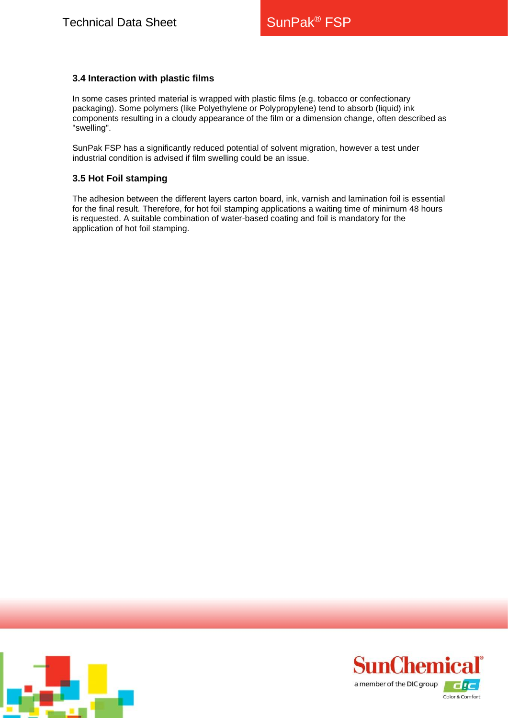## **3.4 Interaction with plastic films**

In some cases printed material is wrapped with plastic films (e.g. tobacco or confectionary packaging). Some polymers (like Polyethylene or Polypropylene) tend to absorb (liquid) ink components resulting in a cloudy appearance of the film or a dimension change, often described as "swelling".

SunPak FSP has a significantly reduced potential of solvent migration, however a test under industrial condition is advised if film swelling could be an issue.

#### **3.5 Hot Foil stamping**

The adhesion between the different layers carton board, ink, varnish and lamination foil is essential for the final result. Therefore, for hot foil stamping applications a waiting time of minimum 48 hours is requested. A suitable combination of water-based coating and foil is mandatory for the application of hot foil stamping.



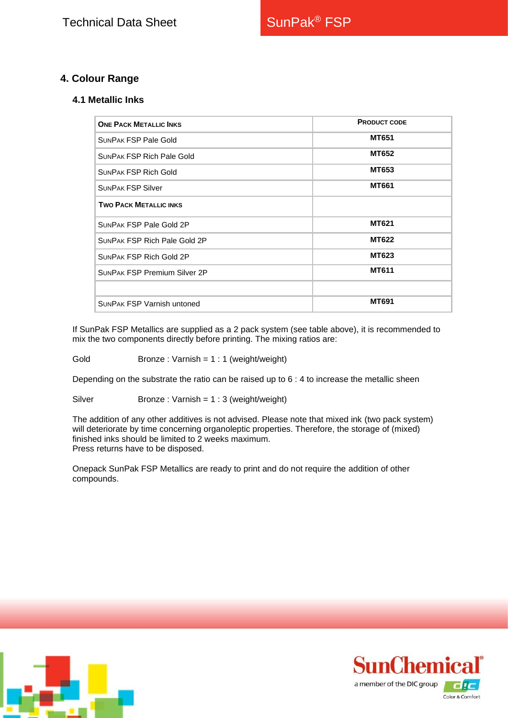# **4. Colour Range**

#### **4.1 Metallic Inks**

| <b>ONE PACK METALLIC INKS</b>       | <b>PRODUCT CODE</b> |
|-------------------------------------|---------------------|
| <b>SUNPAK FSP Pale Gold</b>         | <b>MT651</b>        |
| <b>SUNPAK FSP Rich Pale Gold</b>    | MT652               |
| <b>SUNPAK FSP Rich Gold</b>         | <b>MT653</b>        |
| <b>SUNPAK FSP Silver</b>            | <b>MT661</b>        |
| <b>TWO PACK METALLIC INKS</b>       |                     |
| <b>SUNPAK FSP Pale Gold 2P</b>      | MT621               |
| SUNPAK FSP Rich Pale Gold 2P        | <b>MT622</b>        |
| <b>SUNPAK FSP Rich Gold 2P</b>      | MT623               |
| <b>SUNPAK FSP Premium Silver 2P</b> | <b>MT611</b>        |
|                                     |                     |
| <b>SUNPAK FSP Varnish untoned</b>   | <b>MT691</b>        |

If SunPak FSP Metallics are supplied as a 2 pack system (see table above), it is recommended to mix the two components directly before printing. The mixing ratios are:

Gold Bronze : Varnish = 1 : 1 (weight/weight)

Depending on the substrate the ratio can be raised up to 6 : 4 to increase the metallic sheen

Silver Bronze : Varnish = 1 : 3 (weight/weight)

The addition of any other additives is not advised. Please note that mixed ink (two pack system) will deteriorate by time concerning organoleptic properties. Therefore, the storage of (mixed) finished inks should be limited to 2 weeks maximum. Press returns have to be disposed.

Onepack SunPak FSP Metallics are ready to print and do not require the addition of other compounds.



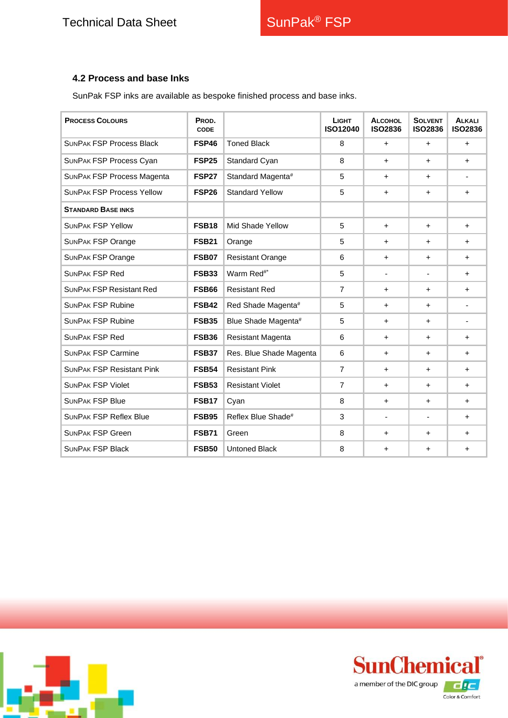# **4.2 Process and base Inks**

SunPak FSP inks are available as bespoke finished process and base inks.

| <b>PROCESS COLOURS</b>            | PROD.<br><b>CODE</b> |                         | <b>LIGHT</b><br>ISO12040 | <b>ALCOHOL</b><br><b>ISO2836</b> | <b>SOLVENT</b><br><b>ISO2836</b> | <b>ALKALI</b><br><b>ISO2836</b> |
|-----------------------------------|----------------------|-------------------------|--------------------------|----------------------------------|----------------------------------|---------------------------------|
| <b>SUNPAK FSP Process Black</b>   | <b>FSP46</b>         | <b>Toned Black</b>      | 8                        | $+$                              | $+$                              | $\ddot{}$                       |
| SUNPAK FSP Process Cyan           | FSP <sub>25</sub>    | Standard Cyan           | 8                        | $+$                              | $\ddot{}$                        | $+$                             |
| <b>SUNPAK FSP Process Magenta</b> | <b>FSP27</b>         | Standard Magenta#       | 5                        | $+$                              | $\ddot{}$                        | $\overline{\phantom{a}}$        |
| <b>SUNPAK FSP Process Yellow</b>  | FSP <sub>26</sub>    | <b>Standard Yellow</b>  | 5                        | $+$                              | $\ddot{}$                        | $+$                             |
| <b>STANDARD BASE INKS</b>         |                      |                         |                          |                                  |                                  |                                 |
| <b>SUNPAK FSP Yellow</b>          | <b>FSB18</b>         | Mid Shade Yellow        | 5                        | $+$                              | $\ddot{}$                        | $+$                             |
| <b>SUNPAK FSP Orange</b>          | <b>FSB21</b>         | Orange                  | 5                        | $+$                              | $+$                              | $+$                             |
| <b>SUNPAK FSP Orange</b>          | <b>FSB07</b>         | <b>Resistant Orange</b> | 6                        | $+$                              | $+$                              | $+$                             |
| <b>SUNPAK FSP Red</b>             | <b>FSB33</b>         | Warm Red <sup>#*</sup>  | 5                        | $\overline{\phantom{a}}$         | $\overline{\phantom{a}}$         | $\ddot{}$                       |
| <b>SUNPAK FSP Resistant Red</b>   | <b>FSB66</b>         | <b>Resistant Red</b>    | $\overline{7}$           | $+$                              | $\ddot{}$                        | $\ddot{}$                       |
| <b>SUNPAK FSP Rubine</b>          | <b>FSB42</b>         | Red Shade Magenta#      | 5                        | $+$                              | $+$                              | $\overline{\phantom{0}}$        |
| <b>SUNPAK FSP Rubine</b>          | <b>FSB35</b>         | Blue Shade Magenta#     | 5                        | $+$                              | $\ddot{}$                        | ٠                               |
| <b>SUNPAK FSP Red</b>             | <b>FSB36</b>         | Resistant Magenta       | 6                        | $+$                              | $\ddot{}$                        | $+$                             |
| <b>SUNPAK FSP Carmine</b>         | <b>FSB37</b>         | Res. Blue Shade Magenta | 6                        | $\pm$                            | $\ddot{}$                        | $\ddot{}$                       |
| <b>SUNPAK FSP Resistant Pink</b>  | <b>FSB54</b>         | <b>Resistant Pink</b>   | $\overline{7}$           | $+$                              | $\ddot{}$                        | $+$                             |
| <b>SUNPAK FSP Violet</b>          | <b>FSB53</b>         | <b>Resistant Violet</b> | $\overline{7}$           | $\pm$                            | $\ddot{}$                        | $\ddot{}$                       |
| <b>SUNPAK FSP Blue</b>            | <b>FSB17</b>         | Cyan                    | 8                        | $+$                              | $\ddot{}$                        | $\ddot{}$                       |
| <b>SUNPAK FSP Reflex Blue</b>     | <b>FSB95</b>         | Reflex Blue Shade#      | 3                        | $\frac{1}{2}$                    | ä,                               | $\ddot{}$                       |
| <b>SUNPAK FSP Green</b>           | <b>FSB71</b>         | Green                   | 8                        | $\ddot{}$                        | $\ddot{}$                        | $\ddot{}$                       |
| <b>SUNPAK FSP Black</b>           | <b>FSB50</b>         | <b>Untoned Black</b>    | 8                        | $\ddot{}$                        | $\ddot{}$                        | $\ddot{}$                       |



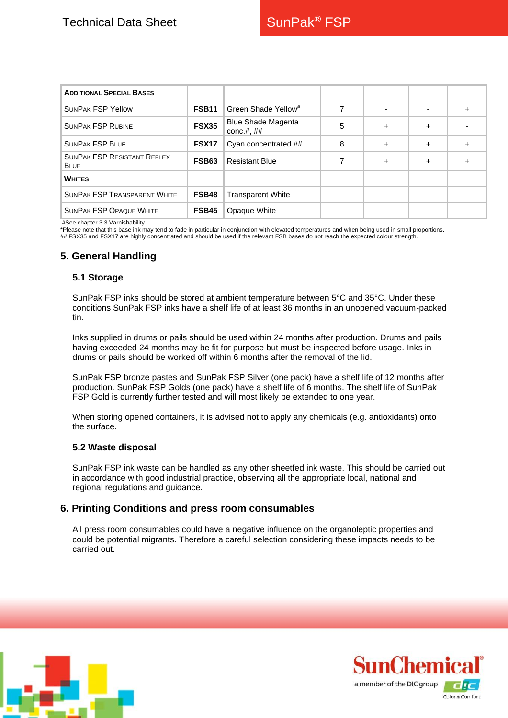| <b>ADDITIONAL SPECIAL BASES</b>                   |              |                                             |   |           |                          |           |
|---------------------------------------------------|--------------|---------------------------------------------|---|-----------|--------------------------|-----------|
| <b>SUNPAK FSP Yellow</b>                          | <b>FSB11</b> | Green Shade Yellow <sup>#</sup>             |   |           | $\overline{\phantom{0}}$ | $\ddot{}$ |
| <b>SUNPAK FSP RUBINE</b>                          | <b>FSX35</b> | <b>Blue Shade Magenta</b><br>conc.#, $\#$ # | 5 | $\ddot{}$ | $\pm$                    |           |
| <b>SUNPAK FSP BLUE</b>                            | <b>FSX17</b> | Cyan concentrated ##                        | 8 | $\ddot{}$ | $+$                      | $\ddot{}$ |
| <b>SUNPAK FSP RESISTANT REFLEX</b><br><b>BLUE</b> | <b>FSB63</b> | <b>Resistant Blue</b>                       | 7 | $\ddot{}$ | $\pm$                    | $\ddot{}$ |
| <b>WHITES</b>                                     |              |                                             |   |           |                          |           |
| <b>SUNPAK FSP TRANSPARENT WHITE</b>               | FSB48        | <b>Transparent White</b>                    |   |           |                          |           |
| <b>SUNPAK FSP OPAQUE WHITE</b>                    | FSB45        | Opaque White                                |   |           |                          |           |

#See chapter 3.3 Varnishability.

\*Please note that this base ink may tend to fade in particular in conjunction with elevated temperatures and when being used in small proportions. ## FSX35 and FSX17 are highly concentrated and should be used if the relevant FSB bases do not reach the expected colour strength.

# **5. General Handling**

#### **5.1 Storage**

SunPak FSP inks should be stored at ambient temperature between 5°C and 35°C. Under these conditions SunPak FSP inks have a shelf life of at least 36 months in an unopened vacuum-packed tin.

Inks supplied in drums or pails should be used within 24 months after production. Drums and pails having exceeded 24 months may be fit for purpose but must be inspected before usage. Inks in drums or pails should be worked off within 6 months after the removal of the lid.

SunPak FSP bronze pastes and SunPak FSP Silver (one pack) have a shelf life of 12 months after production. SunPak FSP Golds (one pack) have a shelf life of 6 months. The shelf life of SunPak FSP Gold is currently further tested and will most likely be extended to one year.

When storing opened containers, it is advised not to apply any chemicals (e.g. antioxidants) onto the surface.

#### **5.2 Waste disposal**

SunPak FSP ink waste can be handled as any other sheetfed ink waste. This should be carried out in accordance with good industrial practice, observing all the appropriate local, national and regional regulations and guidance.

## **6. Printing Conditions and press room consumables**

All press room consumables could have a negative influence on the organoleptic properties and could be potential migrants. Therefore a careful selection considering these impacts needs to be carried out.



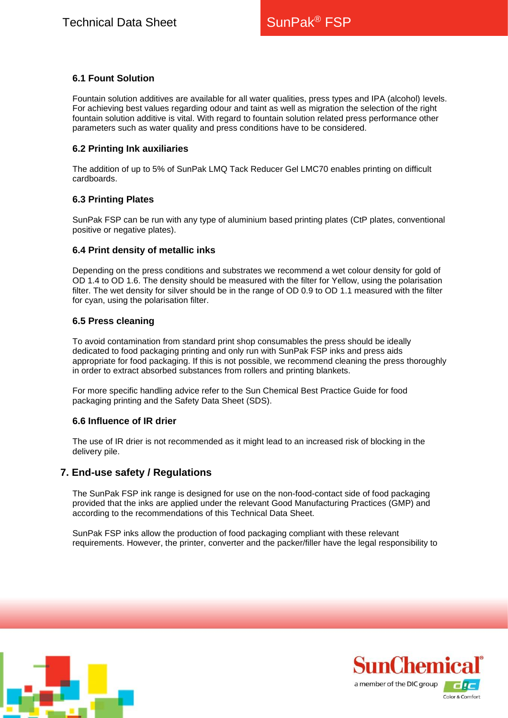## **6.1 Fount Solution**

Fountain solution additives are available for all water qualities, press types and IPA (alcohol) levels. For achieving best values regarding odour and taint as well as migration the selection of the right fountain solution additive is vital. With regard to fountain solution related press performance other parameters such as water quality and press conditions have to be considered.

### **6.2 Printing Ink auxiliaries**

The addition of up to 5% of SunPak LMQ Tack Reducer Gel LMC70 enables printing on difficult cardboards.

#### **6.3 Printing Plates**

SunPak FSP can be run with any type of aluminium based printing plates (CtP plates, conventional positive or negative plates).

#### **6.4 Print density of metallic inks**

Depending on the press conditions and substrates we recommend a wet colour density for gold of OD 1.4 to OD 1.6. The density should be measured with the filter for Yellow, using the polarisation filter. The wet density for silver should be in the range of OD 0.9 to OD 1.1 measured with the filter for cyan, using the polarisation filter.

#### **6.5 Press cleaning**

To avoid contamination from standard print shop consumables the press should be ideally dedicated to food packaging printing and only run with SunPak FSP inks and press aids appropriate for food packaging. If this is not possible, we recommend cleaning the press thoroughly in order to extract absorbed substances from rollers and printing blankets.

For more specific handling advice refer to the Sun Chemical Best Practice Guide for food packaging printing and the Safety Data Sheet (SDS).

#### **6.6 Influence of IR drier**

The use of IR drier is not recommended as it might lead to an increased risk of blocking in the delivery pile.

## **7. End-use safety / Regulations**

The SunPak FSP ink range is designed for use on the non-food-contact side of food packaging provided that the inks are applied under the relevant Good Manufacturing Practices (GMP) and according to the recommendations of this Technical Data Sheet.

SunPak FSP inks allow the production of food packaging compliant with these relevant requirements. However, the printer, converter and the packer/filler have the legal responsibility to



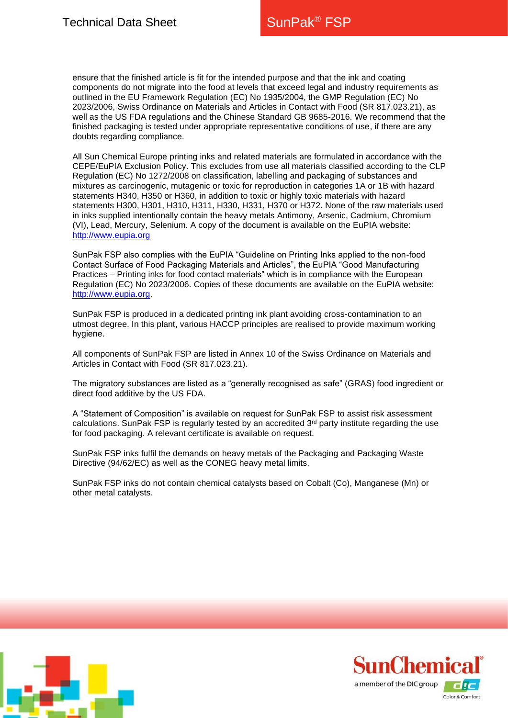ensure that the finished article is fit for the intended purpose and that the ink and coating components do not migrate into the food at levels that exceed legal and industry requirements as outlined in the EU Framework Regulation (EC) No 1935/2004, the GMP Regulation (EC) No 2023/2006, Swiss Ordinance on Materials and Articles in Contact with Food (SR 817.023.21), as well as the US FDA regulations and the Chinese Standard GB 9685-2016. We recommend that the finished packaging is tested under appropriate representative conditions of use, if there are any doubts regarding compliance.

All Sun Chemical Europe printing inks and related materials are formulated in accordance with the CEPE/EuPIA Exclusion Policy. This excludes from use all materials classified according to the CLP Regulation (EC) No 1272/2008 on classification, labelling and packaging of substances and mixtures as carcinogenic, mutagenic or toxic for reproduction in categories 1A or 1B with hazard statements H340, H350 or H360, in addition to toxic or highly toxic materials with hazard statements H300, H301, H310, H311, H330, H331, H370 or H372. None of the raw materials used in inks supplied intentionally contain the heavy metals Antimony, Arsenic, Cadmium, Chromium (VI), Lead, Mercury, Selenium. A copy of the document is available on the EuPIA website: [http://www.eupia.org](http://www.eupia.org/)

SunPak FSP also complies with the EuPIA "Guideline on Printing Inks applied to the non-food Contact Surface of Food Packaging Materials and Articles", the EuPIA "Good Manufacturing Practices – Printing inks for food contact materials" which is in compliance with the European Regulation (EC) No 2023/2006. Copies of these documents are available on the EuPIA website: [http://www.eupia.org.](http://www.eupia.org/)

SunPak FSP is produced in a dedicated printing ink plant avoiding cross-contamination to an utmost degree. In this plant, various HACCP principles are realised to provide maximum working hygiene.

All components of SunPak FSP are listed in Annex 10 of the Swiss Ordinance on Materials and Articles in Contact with Food (SR 817.023.21).

The migratory substances are listed as a "generally recognised as safe" (GRAS) food ingredient or direct food additive by the US FDA.

A "Statement of Composition" is available on request for SunPak FSP to assist risk assessment calculations. SunPak FSP is regularly tested by an accredited  $3<sup>rd</sup>$  party institute regarding the use for food packaging. A relevant certificate is available on request.

SunPak FSP inks fulfil the demands on heavy metals of the Packaging and Packaging Waste Directive (94/62/EC) as well as the CONEG heavy metal limits.

SunPak FSP inks do not contain chemical catalysts based on Cobalt (Co), Manganese (Mn) or other metal catalysts.



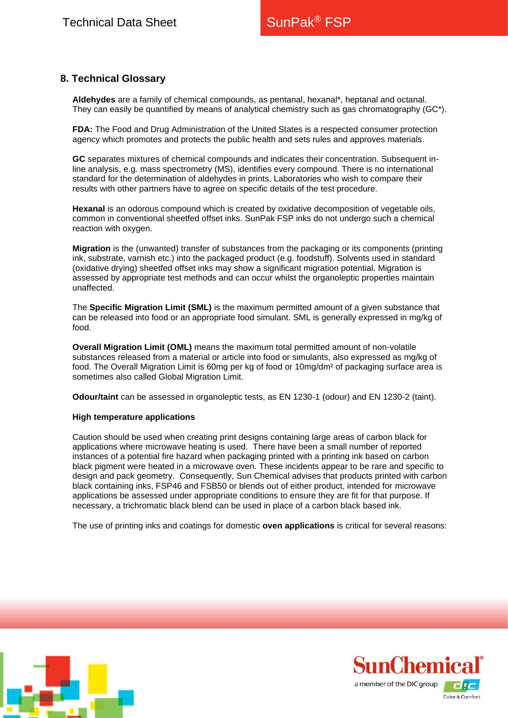# **8. Technical Glossary**

**Aldehydes** are a family of chemical compounds, as pentanal, hexanal\*, heptanal and octanal. They can easily be quantified by means of analytical chemistry such as gas chromatography (GC\*).

**FDA:** The Food and Drug Administration of the United States is a respected consumer protection agency which promotes and protects the public health and sets rules and approves materials.

**GC** separates mixtures of chemical compounds and indicates their concentration. Subsequent inline analysis, e.g. mass spectrometry (MS), identifies every compound. There is no international standard for the determination of aldehydes in prints. Laboratories who wish to compare their results with other partners have to agree on specific details of the test procedure.

**Hexanal** is an odorous compound which is created by oxidative decomposition of vegetable oils, common in conventional sheetfed offset inks. SunPak FSP inks do not undergo such a chemical reaction with oxygen.

**Migration** is the (unwanted) transfer of substances from the packaging or its components (printing ink, substrate, varnish etc.) into the packaged product (e.g. foodstuff). Solvents used in standard (oxidative drying) sheetfed offset inks may show a significant migration potential. Migration is assessed by appropriate test methods and can occur whilst the organoleptic properties maintain unaffected.

The **Specific Migration Limit (SML)** is the maximum permitted amount of a given substance that can be released into food or an appropriate food simulant. SML is generally expressed in mg/kg of food.

**Overall Migration Limit (OML)** means the maximum total permitted amount of non-volatile substances released from a material or article into food or simulants, also expressed as mg/kg of food. The Overall Migration Limit is 60mg per kg of food or 10mg/dm<sup>2</sup> of packaging surface area is sometimes also called Global Migration Limit.

**Odour/taint** can be assessed in organoleptic tests, as EN 1230-1 (odour) and EN 1230-2 (taint).

#### **High temperature applications**

Caution should be used when creating print designs containing large areas of carbon black for applications where microwave heating is used. There have been a small number of reported instances of a potential fire hazard when packaging printed with a printing ink based on carbon black pigment were heated in a microwave oven. These incidents appear to be rare and specific to design and pack geometry. Consequently, Sun Chemical advises that products printed with carbon black containing inks, FSP46 and FSB50 or blends out of either product, intended for microwave applications be assessed under appropriate conditions to ensure they are fit for that purpose. If necessary, a trichromatic black blend can be used in place of a carbon black based ink.

The use of printing inks and coatings for domestic **oven applications** is critical for several reasons:



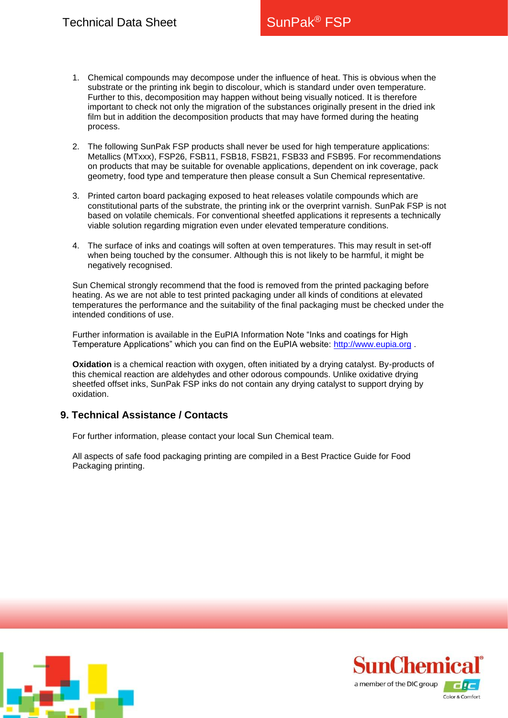- 1. Chemical compounds may decompose under the influence of heat. This is obvious when the substrate or the printing ink begin to discolour, which is standard under oven temperature. Further to this, decomposition may happen without being visually noticed. It is therefore important to check not only the migration of the substances originally present in the dried ink film but in addition the decomposition products that may have formed during the heating process.
- 2. The following SunPak FSP products shall never be used for high temperature applications: Metallics (MTxxx), FSP26, FSB11, FSB18, FSB21, FSB33 and FSB95. For recommendations on products that may be suitable for ovenable applications, dependent on ink coverage, pack geometry, food type and temperature then please consult a Sun Chemical representative.
- 3. Printed carton board packaging exposed to heat releases volatile compounds which are constitutional parts of the substrate, the printing ink or the overprint varnish. SunPak FSP is not based on volatile chemicals. For conventional sheetfed applications it represents a technically viable solution regarding migration even under elevated temperature conditions.
- 4. The surface of inks and coatings will soften at oven temperatures. This may result in set-off when being touched by the consumer. Although this is not likely to be harmful, it might be negatively recognised.

Sun Chemical strongly recommend that the food is removed from the printed packaging before heating. As we are not able to test printed packaging under all kinds of conditions at elevated temperatures the performance and the suitability of the final packaging must be checked under the intended conditions of use.

Further information is available in the EuPIA Information Note "Inks and coatings for High Temperature Applications" which you can find on the EuPIA website: [http://www.eupia.org](http://www.eupia.org/) .

**Oxidation** is a chemical reaction with oxygen, often initiated by a drying catalyst. By-products of this chemical reaction are aldehydes and other odorous compounds. Unlike oxidative drying sheetfed offset inks, SunPak FSP inks do not contain any drying catalyst to support drying by oxidation.

## **9. Technical Assistance / Contacts**

For further information, please contact your local Sun Chemical team.

[All aspects of safe food](http://www.sunchemical.com/) packaging printing are compiled in a Best Practice Guide for Food Packaging printing.



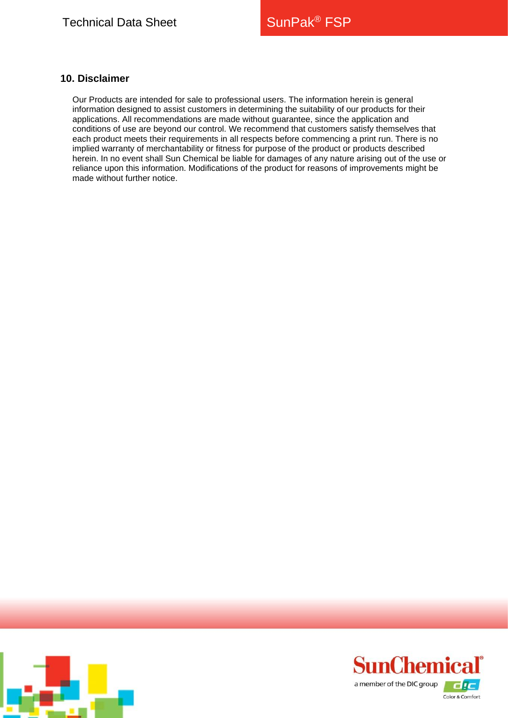## **10. Disclaimer**

Our Products are intended for sale to professional users. The information herein is general information designed to assist customers in determining the suitability of our products for their applications. All recommendations are made without guarantee, since the application and conditions of use are beyond our control. We recommend that customers satisfy themselves that each product meets their requirements in all respects before commencing a print run. There is no implied warranty of merchantability or fitness for purpose of the product or products described herein. In no event shall Sun Chemical be liable for damages of any nature arising out of the use or reliance upon this information. Modifications of the product for reasons of improvements might be made without further notice.



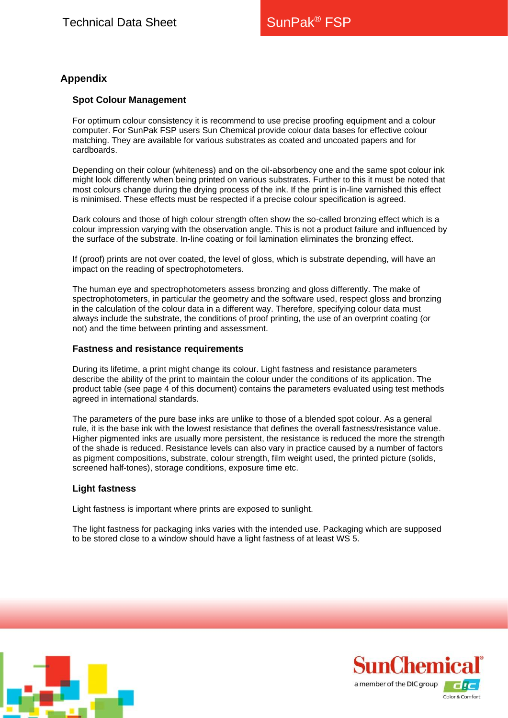# **Appendix**

#### **Spot Colour Management**

For optimum colour consistency it is recommend to use precise proofing equipment and a colour computer. For SunPak FSP users Sun Chemical provide colour data bases for effective colour matching. They are available for various substrates as coated and uncoated papers and for cardboards.

Depending on their colour (whiteness) and on the oil-absorbency one and the same spot colour ink might look differently when being printed on various substrates. Further to this it must be noted that most colours change during the drying process of the ink. If the print is in-line varnished this effect is minimised. These effects must be respected if a precise colour specification is agreed.

Dark colours and those of high colour strength often show the so-called bronzing effect which is a colour impression varying with the observation angle. This is not a product failure and influenced by the surface of the substrate. In-line coating or foil lamination eliminates the bronzing effect.

If (proof) prints are not over coated, the level of gloss, which is substrate depending, will have an impact on the reading of spectrophotometers.

The human eye and spectrophotometers assess bronzing and gloss differently. The make of spectrophotometers, in particular the geometry and the software used, respect gloss and bronzing in the calculation of the colour data in a different way. Therefore, specifying colour data must always include the substrate, the conditions of proof printing, the use of an overprint coating (or not) and the time between printing and assessment.

#### **Fastness and resistance requirements**

During its lifetime, a print might change its colour. Light fastness and resistance parameters describe the ability of the print to maintain the colour under the conditions of its application. The product table (see page 4 of this document) contains the parameters evaluated using test methods agreed in international standards.

The parameters of the pure base inks are unlike to those of a blended spot colour. As a general rule, it is the base ink with the lowest resistance that defines the overall fastness/resistance value. Higher pigmented inks are usually more persistent, the resistance is reduced the more the strength of the shade is reduced. Resistance levels can also vary in practice caused by a number of factors as pigment compositions, substrate, colour strength, film weight used, the printed picture (solids, screened half-tones), storage conditions, exposure time etc.

#### **Light fastness**

Light fastness is important where prints are exposed to sunlight.

The light fastness for packaging inks varies with the intended use. Packaging which are supposed to be stored close to a window should have a light fastness of at least WS 5.